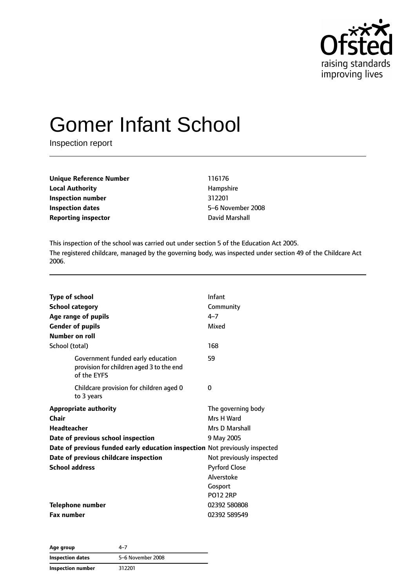

# Gomer Infant School

Inspection report

| <b>Unique Reference Number</b>               | 116176            |
|----------------------------------------------|-------------------|
| <b>Local Authority</b>                       | Hampshire         |
| Inspection number                            | 312201            |
| <b>Inspection dates</b>                      | 5-6 November 2008 |
| <b>Reporting inspector</b><br>David Marshall |                   |

This inspection of the school was carried out under section 5 of the Education Act 2005. The registered childcare, managed by the governing body, was inspected under section 49 of the Childcare Act 2006.

| <b>Type of school</b><br><b>School category</b><br>Age range of pupils<br><b>Gender of pupils</b><br>Number on roll<br>School (total) | Infant<br>Community<br>$4 - 7$<br>Mixed<br>168                                               |
|---------------------------------------------------------------------------------------------------------------------------------------|----------------------------------------------------------------------------------------------|
| Government funded early education<br>provision for children aged 3 to the end<br>of the EYFS                                          | 59                                                                                           |
| Childcare provision for children aged 0<br>to 3 years                                                                                 | 0                                                                                            |
| <b>Appropriate authority</b><br>Chair<br><b>Headteacher</b>                                                                           | The governing body<br>Mrs H Ward<br>Mrs D Marshall                                           |
| Date of previous school inspection<br>Date of previous funded early education inspection Not previously inspected                     | 9 May 2005                                                                                   |
| Date of previous childcare inspection<br><b>School address</b>                                                                        | Not previously inspected<br><b>Pyrford Close</b><br>Alverstoke<br>Gosport<br><b>PO12 2RP</b> |
| <b>Telephone number</b><br><b>Fax number</b>                                                                                          | 02392 580808<br>02392 589549                                                                 |

**Age group** 4–7 **Inspection dates** 5–6 November 2008 **Inspection number** 312201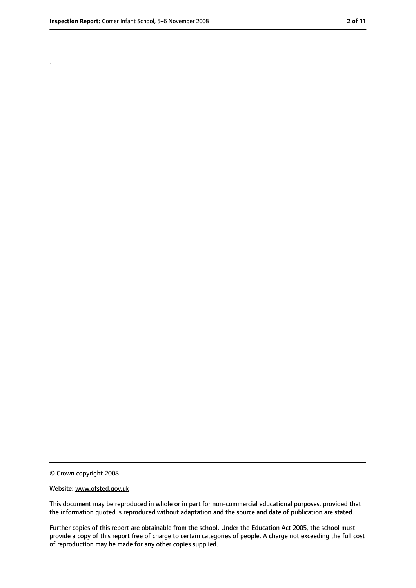.

<sup>©</sup> Crown copyright 2008

Website: www.ofsted.gov.uk

This document may be reproduced in whole or in part for non-commercial educational purposes, provided that the information quoted is reproduced without adaptation and the source and date of publication are stated.

Further copies of this report are obtainable from the school. Under the Education Act 2005, the school must provide a copy of this report free of charge to certain categories of people. A charge not exceeding the full cost of reproduction may be made for any other copies supplied.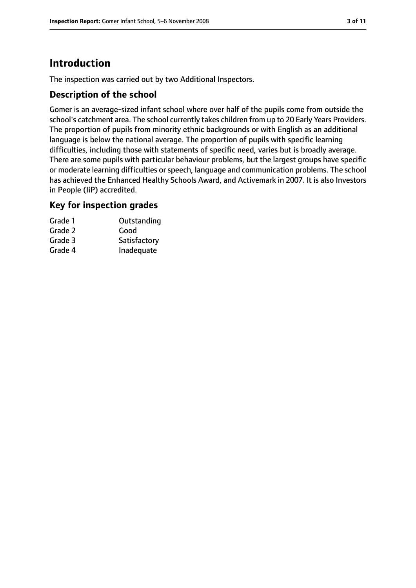# **Introduction**

The inspection was carried out by two Additional Inspectors.

## **Description of the school**

Gomer is an average-sized infant school where over half of the pupils come from outside the school's catchment area. The school currently takes children from up to 20 Early Years Providers. The proportion of pupils from minority ethnic backgrounds or with English as an additional language is below the national average. The proportion of pupils with specific learning difficulties, including those with statements of specific need, varies but is broadly average. There are some pupils with particular behaviour problems, but the largest groups have specific or moderate learning difficulties or speech, language and communication problems. The school has achieved the Enhanced Healthy Schools Award, and Activemark in 2007. It is also Investors in People (IiP) accredited.

### **Key for inspection grades**

| Outstanding  |
|--------------|
|              |
| Satisfactory |
| Inadequate   |
|              |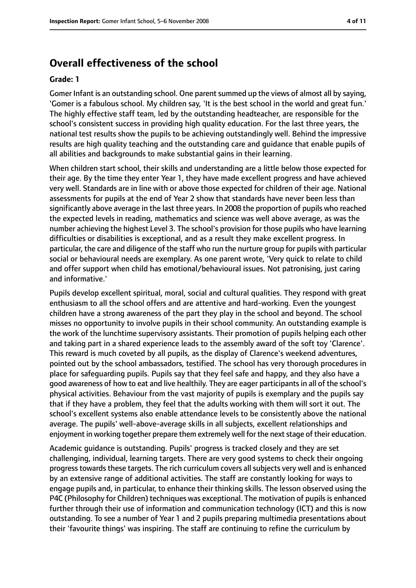# **Overall effectiveness of the school**

#### **Grade: 1**

Gomer Infant is an outstanding school. One parent summed up the views of almost all by saying, 'Gomer is a fabulous school. My children say, 'It is the best school in the world and great fun.' The highly effective staff team, led by the outstanding headteacher, are responsible for the school's consistent success in providing high quality education. For the last three years, the national test results show the pupils to be achieving outstandingly well. Behind the impressive results are high quality teaching and the outstanding care and guidance that enable pupils of all abilities and backgrounds to make substantial gains in their learning.

When children start school, their skills and understanding are a little below those expected for their age. By the time they enter Year 1, they have made excellent progress and have achieved very well. Standards are in line with or above those expected for children of their age. National assessments for pupils at the end of Year 2 show that standards have never been less than significantly above average in the last three years. In 2008 the proportion of pupils who reached the expected levels in reading, mathematics and science was well above average, as was the number achieving the highest Level 3. The school's provision for those pupils who have learning difficulties or disabilities is exceptional, and as a result they make excellent progress. In particular, the care and diligence of the staff who run the nurture group for pupils with particular social or behavioural needs are exemplary. As one parent wrote, 'Very quick to relate to child and offer support when child has emotional/behavioural issues. Not patronising, just caring and informative.'

Pupils develop excellent spiritual, moral, social and cultural qualities. They respond with great enthusiasm to all the school offers and are attentive and hard-working. Even the youngest children have a strong awareness of the part they play in the school and beyond. The school misses no opportunity to involve pupils in their school community. An outstanding example is the work of the lunchtime supervisory assistants. Their promotion of pupils helping each other and taking part in a shared experience leads to the assembly award of the soft toy 'Clarence'. This reward is much coveted by all pupils, as the display of Clarence's weekend adventures, pointed out by the school ambassadors, testified. The school has very thorough procedures in place for safeguarding pupils. Pupils say that they feel safe and happy, and they also have a good awareness of how to eat and live healthily. They are eager participants in all of the school's physical activities. Behaviour from the vast majority of pupils is exemplary and the pupils say that if they have a problem, they feel that the adults working with them will sort it out. The school's excellent systems also enable attendance levels to be consistently above the national average. The pupils' well-above-average skills in all subjects, excellent relationships and enjoyment in working together prepare them extremely well for the next stage of their education.

Academic guidance is outstanding. Pupils' progress is tracked closely and they are set challenging, individual, learning targets. There are very good systems to check their ongoing progress towards these targets. The rich curriculum covers all subjects very well and is enhanced by an extensive range of additional activities. The staff are constantly looking for ways to engage pupils and, in particular, to enhance their thinking skills. The lesson observed using the P4C (Philosophy for Children) techniques was exceptional. The motivation of pupils is enhanced further through their use of information and communication technology (ICT) and this is now outstanding. To see a number of Year 1 and 2 pupils preparing multimedia presentations about their 'favourite things' was inspiring. The staff are continuing to refine the curriculum by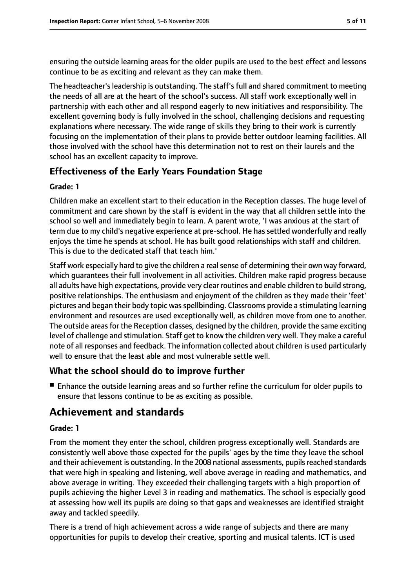ensuring the outside learning areas for the older pupils are used to the best effect and lessons continue to be as exciting and relevant as they can make them.

The headteacher's leadership is outstanding. The staff's full and shared commitment to meeting the needs of all are at the heart of the school's success. All staff work exceptionally well in partnership with each other and all respond eagerly to new initiatives and responsibility. The excellent governing body is fully involved in the school, challenging decisions and requesting explanations where necessary. The wide range of skills they bring to their work is currently focusing on the implementation of their plans to provide better outdoor learning facilities. All those involved with the school have this determination not to rest on their laurels and the school has an excellent capacity to improve.

# **Effectiveness of the Early Years Foundation Stage**

#### **Grade: 1**

Children make an excellent start to their education in the Reception classes. The huge level of commitment and care shown by the staff is evident in the way that all children settle into the school so well and immediately begin to learn. A parent wrote, 'I was anxious at the start of term due to my child's negative experience at pre-school. He has settled wonderfully and really enjoys the time he spends at school. He has built good relationships with staff and children. This is due to the dedicated staff that teach him.'

Staff work especially hard to give the children a real sense of determining their own way forward, which guarantees their full involvement in all activities. Children make rapid progress because all adults have high expectations, provide very clear routines and enable children to build strong, positive relationships. The enthusiasm and enjoyment of the children as they made their 'feet' pictures and began their body topic was spellbinding. Classrooms provide a stimulating learning environment and resources are used exceptionally well, as children move from one to another. The outside areas for the Reception classes, designed by the children, provide the same exciting level of challenge and stimulation. Staff get to know the children very well. They make a careful note of all responses and feedback. The information collected about children is used particularly well to ensure that the least able and most vulnerable settle well.

## **What the school should do to improve further**

■ Enhance the outside learning areas and so further refine the curriculum for older pupils to ensure that lessons continue to be as exciting as possible.

# **Achievement and standards**

#### **Grade: 1**

From the moment they enter the school, children progress exceptionally well. Standards are consistently well above those expected for the pupils' ages by the time they leave the school and their achievement is outstanding. In the 2008 national assessments, pupils reached standards that were high in speaking and listening, well above average in reading and mathematics, and above average in writing. They exceeded their challenging targets with a high proportion of pupils achieving the higher Level 3 in reading and mathematics. The school is especially good at assessing how well its pupils are doing so that gaps and weaknesses are identified straight away and tackled speedily.

There is a trend of high achievement across a wide range of subjects and there are many opportunities for pupils to develop their creative, sporting and musical talents. ICT is used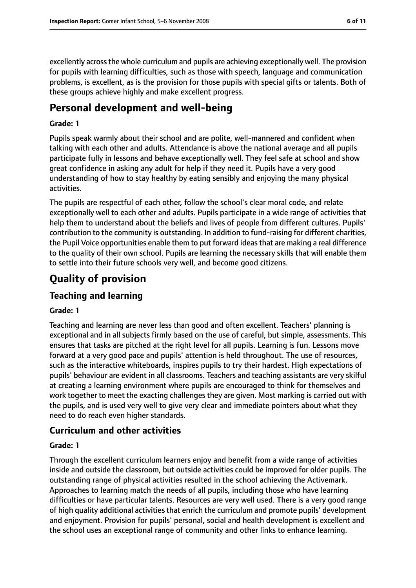excellently across the whole curriculum and pupils are achieving exceptionally well. The provision for pupils with learning difficulties, such as those with speech, language and communication problems, is excellent, as is the provision for those pupils with special gifts or talents. Both of these groups achieve highly and make excellent progress.

# **Personal development and well-being**

#### **Grade: 1**

Pupils speak warmly about their school and are polite, well-mannered and confident when talking with each other and adults. Attendance is above the national average and all pupils participate fully in lessons and behave exceptionally well. They feel safe at school and show great confidence in asking any adult for help if they need it. Pupils have a very good understanding of how to stay healthy by eating sensibly and enjoying the many physical activities.

The pupils are respectful of each other, follow the school's clear moral code, and relate exceptionally well to each other and adults. Pupils participate in a wide range of activities that help them to understand about the beliefs and lives of people from different cultures. Pupils' contribution to the community is outstanding. In addition to fund-raising for different charities, the Pupil Voice opportunities enable them to put forward ideasthat are making a real difference to the quality of their own school. Pupils are learning the necessary skills that will enable them to settle into their future schools very well, and become good citizens.

# **Quality of provision**

## **Teaching and learning**

#### **Grade: 1**

Teaching and learning are never less than good and often excellent. Teachers' planning is exceptional and in all subjects firmly based on the use of careful, but simple, assessments. This ensures that tasks are pitched at the right level for all pupils. Learning is fun. Lessons move forward at a very good pace and pupils' attention is held throughout. The use of resources, such as the interactive whiteboards, inspires pupils to try their hardest. High expectations of pupils' behaviour are evident in all classrooms. Teachers and teaching assistants are very skilful at creating a learning environment where pupils are encouraged to think for themselves and work together to meet the exacting challenges they are given. Most marking is carried out with the pupils, and is used very well to give very clear and immediate pointers about what they need to do reach even higher standards.

## **Curriculum and other activities**

#### **Grade: 1**

Through the excellent curriculum learners enjoy and benefit from a wide range of activities inside and outside the classroom, but outside activities could be improved for older pupils. The outstanding range of physical activities resulted in the school achieving the Activemark. Approaches to learning match the needs of all pupils, including those who have learning difficulties or have particular talents. Resources are very well used. There is a very good range of high quality additional activities that enrich the curriculum and promote pupils' development and enjoyment. Provision for pupils' personal, social and health development is excellent and the school uses an exceptional range of community and other links to enhance learning.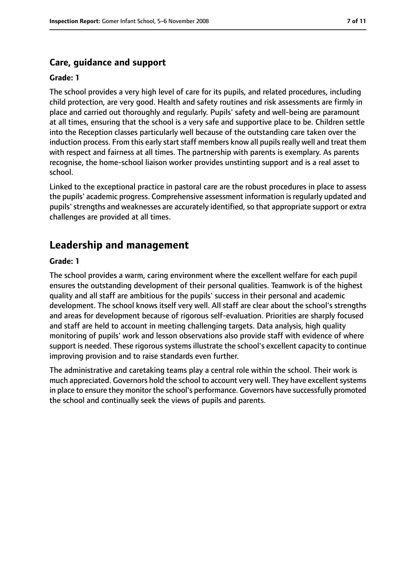## **Care, guidance and support**

#### **Grade: 1**

The school provides a very high level of care for its pupils, and related procedures, including child protection, are very good. Health and safety routines and risk assessments are firmly in place and carried out thoroughly and regularly. Pupils' safety and well-being are paramount at all times, ensuring that the school is a very safe and supportive place to be. Children settle into the Reception classes particularly well because of the outstanding care taken over the induction process. From this early start staff members know all pupils really well and treat them with respect and fairness at all times. The partnership with parents is exemplary. As parents recognise, the home-school liaison worker provides unstinting support and is a real asset to school.

Linked to the exceptional practice in pastoral care are the robust procedures in place to assess the pupils' academic progress. Comprehensive assessment information isregularly updated and pupils' strengths and weaknesses are accurately identified, so that appropriate support or extra challenges are provided at all times.

# **Leadership and management**

#### **Grade: 1**

The school provides a warm, caring environment where the excellent welfare for each pupil ensures the outstanding development of their personal qualities. Teamwork is of the highest quality and all staff are ambitious for the pupils' success in their personal and academic development. The school knows itself very well. All staff are clear about the school's strengths and areas for development because of rigorous self-evaluation. Priorities are sharply focused and staff are held to account in meeting challenging targets. Data analysis, high quality monitoring of pupils' work and lesson observations also provide staff with evidence of where support is needed. These rigorous systems illustrate the school's excellent capacity to continue improving provision and to raise standards even further.

The administrative and caretaking teams play a central role within the school. Their work is much appreciated. Governors hold the school to account very well. They have excellent systems in place to ensure they monitor the school's performance. Governors have successfully promoted the school and continually seek the views of pupils and parents.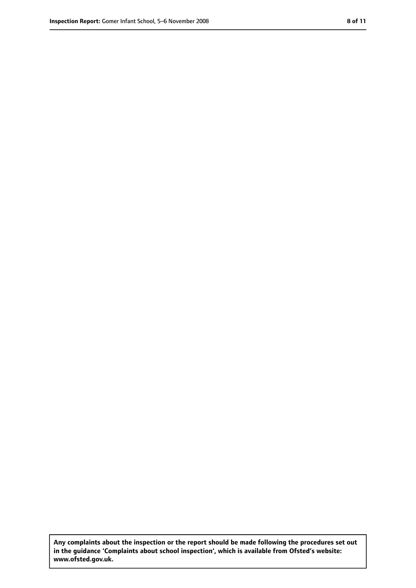**Any complaints about the inspection or the report should be made following the procedures set out in the guidance 'Complaints about school inspection', which is available from Ofsted's website: www.ofsted.gov.uk.**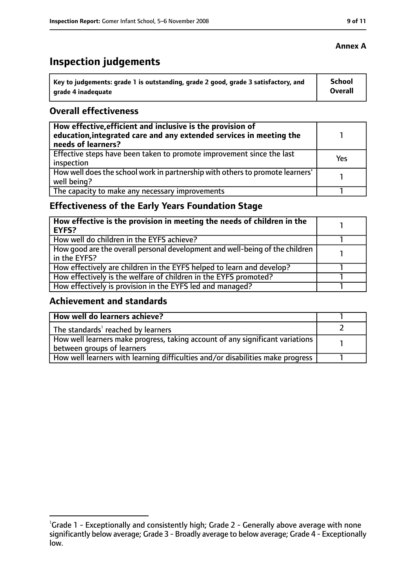# **Inspection judgements**

| \ Key to judgements: grade 1 is outstanding, grade 2 good, grade 3 satisfactory, and | <b>School</b>  |
|--------------------------------------------------------------------------------------|----------------|
| arade 4 inadequate                                                                   | <b>Overall</b> |

#### **Overall effectiveness**

| How effective, efficient and inclusive is the provision of<br>education, integrated care and any extended services in meeting the<br>needs of learners? |     |
|---------------------------------------------------------------------------------------------------------------------------------------------------------|-----|
| Effective steps have been taken to promote improvement since the last<br>inspection                                                                     | Yes |
| How well does the school work in partnership with others to promote learners'<br>well being?                                                            |     |
| The capacity to make any necessary improvements                                                                                                         |     |

# **Effectiveness of the Early Years Foundation Stage**

| How effective is the provision in meeting the needs of children in the<br>l EYFS?              |  |
|------------------------------------------------------------------------------------------------|--|
| How well do children in the EYFS achieve?                                                      |  |
| How good are the overall personal development and well-being of the children<br>I in the EYFS? |  |
| How effectively are children in the EYFS helped to learn and develop?                          |  |
| How effectively is the welfare of children in the EYFS promoted?                               |  |
| How effectively is provision in the EYFS led and managed?                                      |  |

#### **Achievement and standards**

| How well do learners achieve?                                                  |  |
|--------------------------------------------------------------------------------|--|
| $\vert$ The standards <sup>1</sup> reached by learners                         |  |
| How well learners make progress, taking account of any significant variations  |  |
| between groups of learners                                                     |  |
| How well learners with learning difficulties and/or disabilities make progress |  |

## **Annex A**

<sup>&</sup>lt;sup>1</sup>Grade 1 - Exceptionally and consistently high; Grade 2 - Generally above average with none significantly below average; Grade 3 - Broadly average to below average; Grade 4 - Exceptionally low.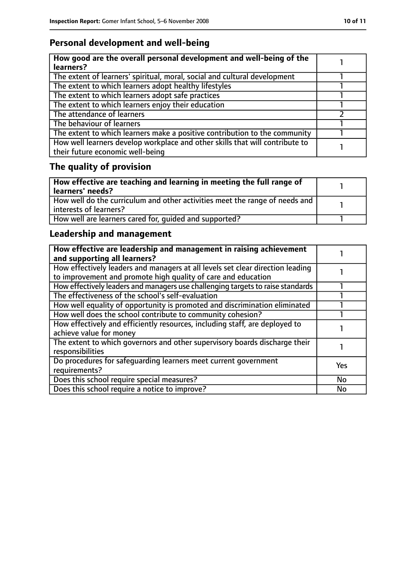# **Personal development and well-being**

| How good are the overall personal development and well-being of the<br>learners?                                 |  |
|------------------------------------------------------------------------------------------------------------------|--|
| The extent of learners' spiritual, moral, social and cultural development                                        |  |
| The extent to which learners adopt healthy lifestyles                                                            |  |
| The extent to which learners adopt safe practices                                                                |  |
| The extent to which learners enjoy their education                                                               |  |
| The attendance of learners                                                                                       |  |
| The behaviour of learners                                                                                        |  |
| The extent to which learners make a positive contribution to the community                                       |  |
| How well learners develop workplace and other skills that will contribute to<br>their future economic well-being |  |

# **The quality of provision**

| $\mid$ How effective are teaching and learning in meeting the full range of<br>  learners' needs?       |  |
|---------------------------------------------------------------------------------------------------------|--|
| How well do the curriculum and other activities meet the range of needs and<br>  interests of learners? |  |
| How well are learners cared for, quided and supported?                                                  |  |

# **Leadership and management**

| How effective are leadership and management in raising achievement<br>and supporting all learners?                                              |            |
|-------------------------------------------------------------------------------------------------------------------------------------------------|------------|
| How effectively leaders and managers at all levels set clear direction leading<br>to improvement and promote high quality of care and education |            |
| How effectively leaders and managers use challenging targets to raise standards                                                                 |            |
| The effectiveness of the school's self-evaluation                                                                                               |            |
| How well equality of opportunity is promoted and discrimination eliminated                                                                      |            |
| How well does the school contribute to community cohesion?                                                                                      |            |
| How effectively and efficiently resources, including staff, are deployed to<br>achieve value for money                                          |            |
| The extent to which governors and other supervisory boards discharge their<br>responsibilities                                                  |            |
| Do procedures for safequarding learners meet current government<br>requirements?                                                                | <b>Yes</b> |
| Does this school require special measures?                                                                                                      | <b>No</b>  |
| Does this school require a notice to improve?                                                                                                   | No         |